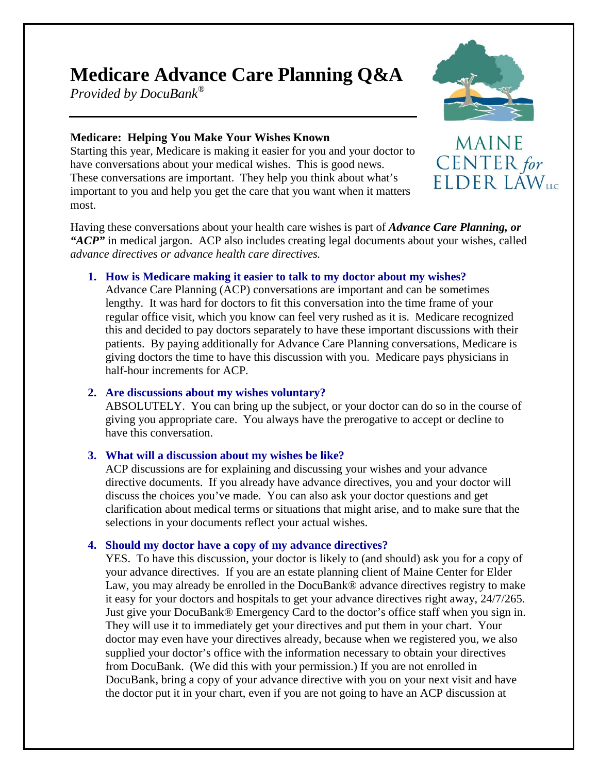# **Medicare Advance Care Planning Q&A**

*Provided by DocuBank®*



MAINE

CENTER for ELDER LAW<sub>us</sub>

## **Medicare: Helping You Make Your Wishes Known**

Starting this year, Medicare is making it easier for you and your doctor to have conversations about your medical wishes. This is good news. These conversations are important. They help you think about what's important to you and help you get the care that you want when it matters most.

Having these conversations about your health care wishes is part of *Advance Care Planning, or "ACP"* in medical jargon. ACP also includes creating legal documents about your wishes, called *advance directives or advance health care directives.* 

## **1. How is Medicare making it easier to talk to my doctor about my wishes?**

Advance Care Planning (ACP) conversations are important and can be sometimes lengthy. It was hard for doctors to fit this conversation into the time frame of your regular office visit, which you know can feel very rushed as it is. Medicare recognized this and decided to pay doctors separately to have these important discussions with their patients. By paying additionally for Advance Care Planning conversations, Medicare is giving doctors the time to have this discussion with you. Medicare pays physicians in half-hour increments for ACP*.*

# **2. Are discussions about my wishes voluntary?**

ABSOLUTELY. You can bring up the subject, or your doctor can do so in the course of giving you appropriate care. You always have the prerogative to accept or decline to have this conversation.

# **3. What will a discussion about my wishes be like?**

ACP discussions are for explaining and discussing your wishes and your advance directive documents. If you already have advance directives, you and your doctor will discuss the choices you've made. You can also ask your doctor questions and get clarification about medical terms or situations that might arise, and to make sure that the selections in your documents reflect your actual wishes.

# **4. Should my doctor have a copy of my advance directives?**

YES. To have this discussion, your doctor is likely to (and should) ask you for a copy of your advance directives. If you are an estate planning client of Maine Center for Elder Law, you may already be enrolled in the DocuBank® advance directives registry to make it easy for your doctors and hospitals to get your advance directives right away, 24/7/265. Just give your DocuBank® Emergency Card to the doctor's office staff when you sign in. They will use it to immediately get your directives and put them in your chart. Your doctor may even have your directives already, because when we registered you, we also supplied your doctor's office with the information necessary to obtain your directives from DocuBank. (We did this with your permission.) If you are not enrolled in DocuBank, bring a copy of your advance directive with you on your next visit and have the doctor put it in your chart, even if you are not going to have an ACP discussion at